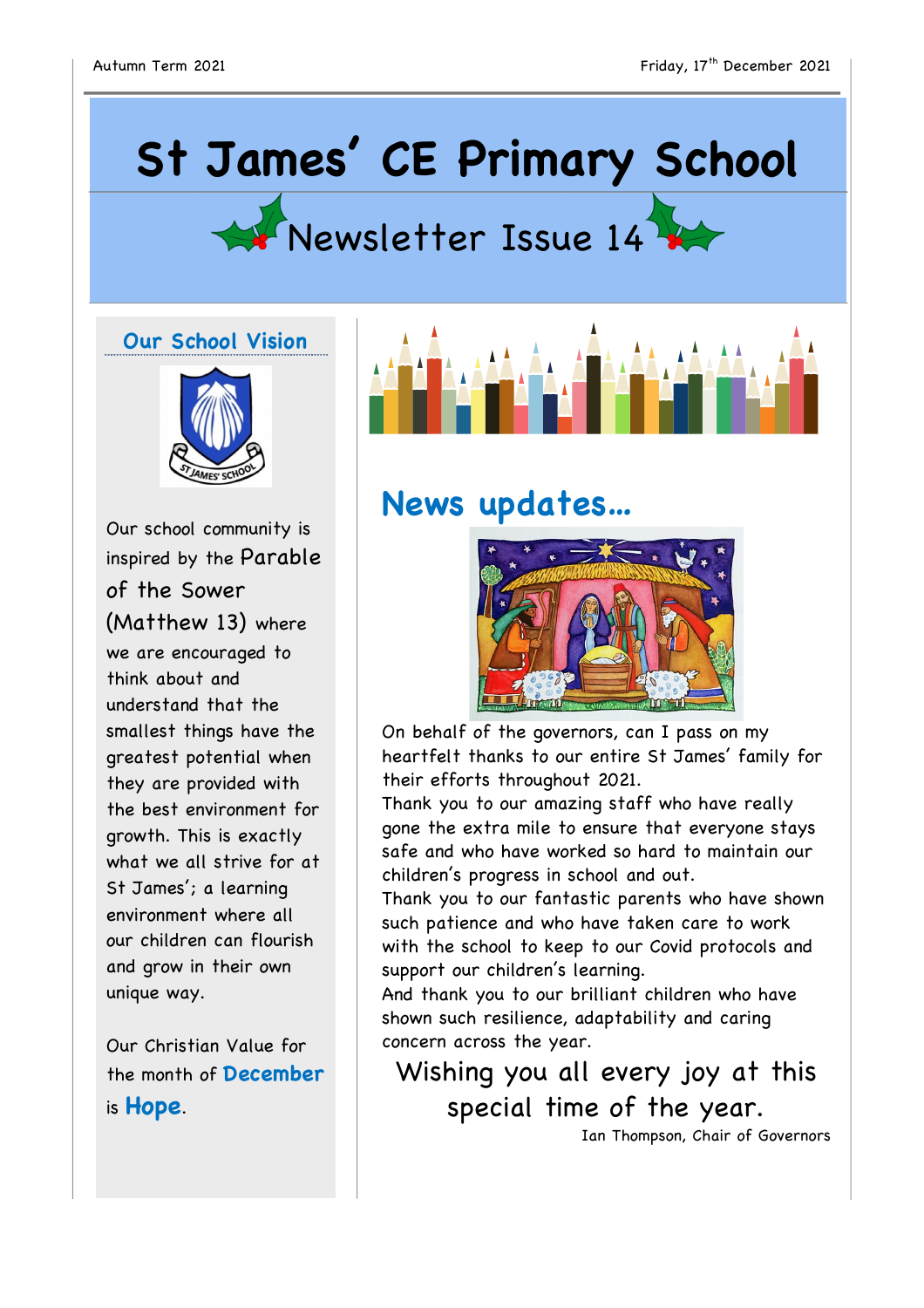## **St James' CE Primary School**



## **Our School Vision**



Our school community is inspired by the Parable of the Sower (Matthew 13) where we are encouraged to think about and understand that the smallest things have the greatest potential when they are provided with the best environment for growth. This is exactly what we all strive for at St James'; a learning environment where all our children can flourish and grow in their own unique way.

Our Christian Value for the month of **December** is **Hope**.



## **News updates…**



On behalf of the governors, can I pass on my heartfelt thanks to our entire St James' family for their efforts throughout 2021.

Thank you to our amazing staff who have really gone the extra mile to ensure that everyone stays safe and who have worked so hard to maintain our children's progress in school and out.

Thank you to our fantastic parents who have shown such patience and who have taken care to work with the school to keep to our Covid protocols and support our children's learning.

And thank you to our brilliant children who have shown such resilience, adaptability and caring concern across the year.

Wishing you all every joy at this special time of the year.

Ian Thompson, Chair of Governors